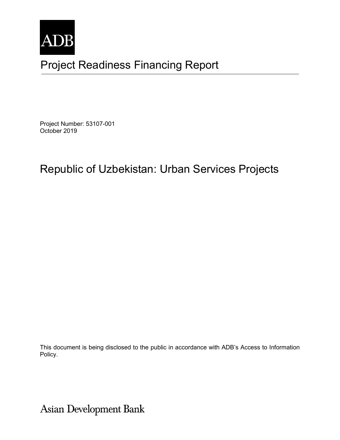

# Project Readiness Financing Report

Project Number: 53107-001 October 2019

# Republic of Uzbekistan: Urban Services Projects

This document is being disclosed to the public in accordance with ADB's Access to Information Policy.

Asian Development Bank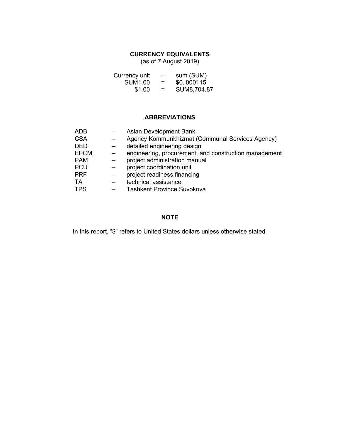### **CURRENCY EQUIVALENTS**

(as of 7 August 2019)

| Currency unit  | $\overline{\phantom{0}}$ | sum (SUM)   |
|----------------|--------------------------|-------------|
| <b>SUM1.00</b> | $=$                      | \$0.000115  |
| \$1.00         | =                        | SUM8,704.87 |

## **ABBREVIATIONS**

| ADB         | <b>Asian Development Bank</b>                         |
|-------------|-------------------------------------------------------|
| <b>CSA</b>  | Agency Kommunkhizmat (Communal Services Agency)       |
| <b>DED</b>  | detailed engineering design                           |
| <b>EPCM</b> | engineering, procurement, and construction management |
| <b>PAM</b>  | project administration manual                         |
| <b>PCU</b>  | project coordination unit                             |
| <b>PRF</b>  | project readiness financing                           |
| TA          | technical assistance                                  |
| <b>TPS</b>  | <b>Tashkent Province Suvokova</b>                     |

### **NOTE**

In this report, "\$" refers to United States dollars unless otherwise stated.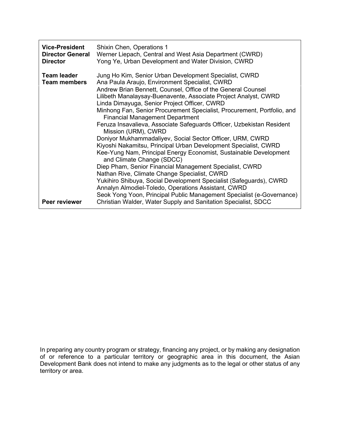| <b>Vice-President</b><br><b>Director General</b><br><b>Director</b> | Shixin Chen, Operations 1<br>Werner Liepach, Central and West Asia Department (CWRD)<br>Yong Ye, Urban Development and Water Division, CWRD                                                                                                                                                                                                                                                                                                                                                                                                                                                                                                                                                                                                                                                                                                                                                                                                                                                                                                                         |
|---------------------------------------------------------------------|---------------------------------------------------------------------------------------------------------------------------------------------------------------------------------------------------------------------------------------------------------------------------------------------------------------------------------------------------------------------------------------------------------------------------------------------------------------------------------------------------------------------------------------------------------------------------------------------------------------------------------------------------------------------------------------------------------------------------------------------------------------------------------------------------------------------------------------------------------------------------------------------------------------------------------------------------------------------------------------------------------------------------------------------------------------------|
| <b>Team leader</b><br><b>Team members</b>                           | Jung Ho Kim, Senior Urban Development Specialist, CWRD<br>Ana Paula Araujo, Environment Specialist, CWRD<br>Andrew Brian Bennett, Counsel, Office of the General Counsel<br>Lilibeth Manalaysay-Buenavente, Associate Project Analyst, CWRD<br>Linda Dimayuga, Senior Project Officer, CWRD<br>Minhong Fan, Senior Procurement Specialist, Procurement, Portfolio, and<br><b>Financial Management Department</b><br>Feruza Insavalieva, Associate Safeguards Officer, Uzbekistan Resident<br>Mission (URM), CWRD<br>Doniyor Mukhammadaliyev, Social Sector Officer, URM, CWRD<br>Kiyoshi Nakamitsu, Principal Urban Development Specialist, CWRD<br>Kee-Yung Nam, Principal Energy Economist, Sustainable Development<br>and Climate Change (SDCC)<br>Diep Pham, Senior Financial Management Specialist, CWRD<br>Nathan Rive, Climate Change Specialist, CWRD<br>Yukihiro Shibuya, Social Development Specialist (Safeguards), CWRD<br>Annalyn Almodiel-Toledo, Operations Assistant, CWRD<br>Seok Yong Yoon, Principal Public Management Specialist (e-Governance) |
| Peer reviewer                                                       | Christian Walder, Water Supply and Sanitation Specialist, SDCC                                                                                                                                                                                                                                                                                                                                                                                                                                                                                                                                                                                                                                                                                                                                                                                                                                                                                                                                                                                                      |

In preparing any country program or strategy, financing any project, or by making any designation of or reference to a particular territory or geographic area in this document, the Asian Development Bank does not intend to make any judgments as to the legal or other status of any territory or area.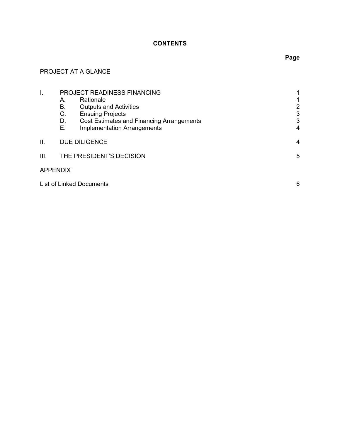### **CONTENTS**

# PROJECT AT A GLANCE

| I.   | Α.<br>В.<br>C.<br>D.<br>Ε.           | PROJECT READINESS FINANCING<br>Rationale<br><b>Outputs and Activities</b><br><b>Ensuing Projects</b><br><b>Cost Estimates and Financing Arrangements</b><br><b>Implementation Arrangements</b> | 2<br>3<br>3<br>4 |
|------|--------------------------------------|------------------------------------------------------------------------------------------------------------------------------------------------------------------------------------------------|------------------|
| ΙΙ.  |                                      | <b>DUE DILIGENCE</b>                                                                                                                                                                           | 4                |
| III. |                                      | THE PRESIDENT'S DECISION                                                                                                                                                                       | 5                |
|      | <b>APPENDIX</b>                      |                                                                                                                                                                                                |                  |
|      | <b>List of Linked Documents</b><br>6 |                                                                                                                                                                                                |                  |

# **Page**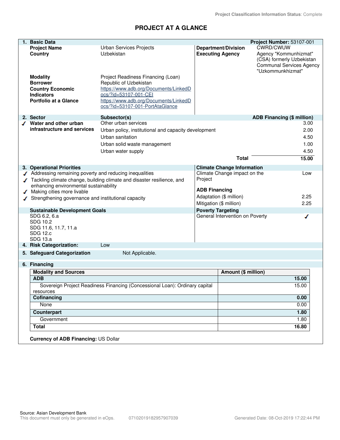## **PROJECT AT A GLANCE**

| 1. Basic Data                                                   |                                                                             |                          |                                   | Project Number: 53107-001                                                                                  |       |  |
|-----------------------------------------------------------------|-----------------------------------------------------------------------------|--------------------------|-----------------------------------|------------------------------------------------------------------------------------------------------------|-------|--|
| <b>Project Name</b>                                             | Urban Services Projects                                                     |                          | <b>Department/Division</b>        | CWRD/CWUW                                                                                                  |       |  |
| Country                                                         | Uzbekistan                                                                  | <b>Executing Agency</b>  |                                   | Agency "Kommunhizmat"<br>(CSA) formerly Uzbekistan<br><b>Communal Services Agency</b><br>"Uzkommunkhizmat" |       |  |
| <b>Modality</b>                                                 | Project Readiness Financing (Loan)                                          |                          |                                   |                                                                                                            |       |  |
| <b>Borrower</b>                                                 | Republic of Uzbekistan                                                      |                          |                                   |                                                                                                            |       |  |
| <b>Country Economic</b>                                         | https://www.adb.org/Documents/LinkedD                                       |                          |                                   |                                                                                                            |       |  |
| <b>Indicators</b>                                               | ocs/?id=53107-001-CEI                                                       |                          |                                   |                                                                                                            |       |  |
| <b>Portfolio at a Glance</b>                                    | https://www.adb.org/Documents/LinkedD<br>ocs/?id=53107-001-PortAtaGlance    |                          |                                   |                                                                                                            |       |  |
| 2. Sector                                                       | Subsector(s)                                                                |                          |                                   | <b>ADB Financing (\$ million)</b>                                                                          |       |  |
| Water and other urban                                           | Other urban services                                                        |                          |                                   |                                                                                                            | 3.00  |  |
| infrastructure and services                                     | Urban policy, institutional and capacity development                        |                          |                                   |                                                                                                            | 2.00  |  |
|                                                                 | Urban sanitation                                                            |                          |                                   |                                                                                                            | 4.50  |  |
|                                                                 | Urban solid waste management                                                |                          |                                   |                                                                                                            | 1.00  |  |
|                                                                 | Urban water supply                                                          |                          |                                   |                                                                                                            | 4.50  |  |
|                                                                 |                                                                             |                          | <b>Total</b>                      |                                                                                                            | 15.00 |  |
|                                                                 |                                                                             |                          |                                   |                                                                                                            |       |  |
| 3. Operational Priorities                                       |                                                                             |                          | <b>Climate Change Information</b> |                                                                                                            |       |  |
| Addressing remaining poverty and reducing inequalities          | Tackling climate change, building climate and disaster resilience, and      | Project                  | Climate Change impact on the      |                                                                                                            | Low   |  |
| enhancing environmental sustainability                          |                                                                             |                          |                                   |                                                                                                            |       |  |
| <b>ADB Financing</b><br>Making cities more livable              |                                                                             |                          |                                   |                                                                                                            |       |  |
| Strengthening governance and institutional capacity             |                                                                             |                          | Adaptation (\$ million)           |                                                                                                            | 2.25  |  |
|                                                                 |                                                                             | Mitigation (\$ million)  |                                   |                                                                                                            | 2.25  |  |
| <b>Sustainable Development Goals</b><br>SDG 6.2, 6.a            |                                                                             | <b>Poverty Targeting</b> | General Intervention on Poverty   |                                                                                                            | ◢     |  |
| SDG 10.2<br>SDG 11.6, 11.7, 11.a<br><b>SDG 12.c</b><br>SDG 13.a |                                                                             |                          |                                   |                                                                                                            |       |  |
| 4. Risk Categorization:                                         | Low                                                                         |                          |                                   |                                                                                                            |       |  |
| 5. Safeguard Categorization                                     | Not Applicable.                                                             |                          |                                   |                                                                                                            |       |  |
| 6. Financing                                                    |                                                                             |                          |                                   |                                                                                                            |       |  |
| <b>Modality and Sources</b>                                     |                                                                             |                          | Amount (\$ million)               |                                                                                                            |       |  |
| <b>ADB</b>                                                      |                                                                             |                          |                                   |                                                                                                            | 15.00 |  |
| resources                                                       | Sovereign Project Readiness Financing (Concessional Loan): Ordinary capital |                          |                                   |                                                                                                            | 15.00 |  |
| Cofinancing                                                     |                                                                             |                          |                                   |                                                                                                            | 0.00  |  |
| None                                                            |                                                                             |                          |                                   |                                                                                                            | 0.00  |  |
| <b>Counterpart</b>                                              |                                                                             |                          |                                   |                                                                                                            | 1.80  |  |
| Government                                                      |                                                                             |                          |                                   |                                                                                                            | 1.80  |  |
| <b>Total</b>                                                    |                                                                             |                          |                                   |                                                                                                            | 16.80 |  |
|                                                                 | Currency of ADB Financing: US Dollar                                        |                          |                                   |                                                                                                            |       |  |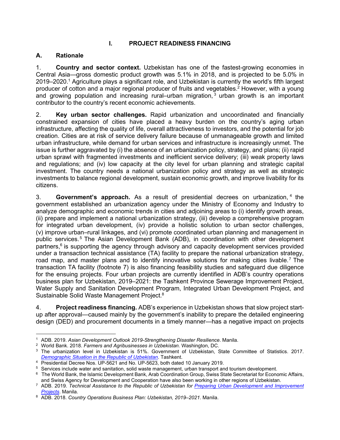#### **I. PROJECT READINESS FINANCING**

#### **A. Rationale**

1. **Country and sector context.** Uzbekistan has one of the fastest-growing economies in Central Asia—gross domestic product growth was 5.1% in 2018, and is projected to be 5.0% in 2019–2020.<sup>1</sup> Agriculture plays a significant role, and Uzbekistan is currently the world's fifth largest producer of cotton and a major regional producer of fruits and vegetables.<sup>2</sup> However, with a young and growing population and increasing rural–urban migration,  $3$  urban growth is an important contributor to the country's recent economic achievements.

2. **Key urban sector challenges.** Rapid urbanization and uncoordinated and financially constrained expansion of cities have placed a heavy burden on the country's aging urban infrastructure, affecting the quality of life, overall attractiveness to investors, and the potential for job creation. Cities are at risk of service delivery failure because of unmanageable growth and limited urban infrastructure, while demand for urban services and infrastructure is increasingly unmet. The issue is further aggravated by (i) the absence of an urbanization policy, strategy, and plans; (ii) rapid urban sprawl with fragmented investments and inefficient service delivery; (iii) weak property laws and regulations; and (iv) low capacity at the city level for urban planning and strategic capital investment. The country needs a national urbanization policy and strategy as well as strategic investments to balance regional development, sustain economic growth, and improve livability for its citizens.

3. **Government's approach.** As a result of presidential decrees on urbanization, <sup>4</sup> the government established an urbanization agency under the Ministry of Economy and Industry to analyze demographic and economic trends in cities and adjoining areas to (i) identify growth areas, (ii) prepare and implement a national urbanization strategy, (iii) develop a comprehensive program for integrated urban development, (iv) provide a holistic solution to urban sector challenges, (v) improve urban–rural linkages, and (vi) promote coordinated urban planning and management in public services.<sup>5</sup> The Asian Development Bank (ADB), in coordination with other development partners,<sup>6</sup> is supporting the agency through advisory and capacity development services provided under a transaction technical assistance (TA) facility to prepare the national urbanization strategy, road map, and master plans and to identify innovative solutions for making cities livable.<sup>7</sup> The transaction TA facility (footnote 7) is also financing feasibility studies and safeguard due diligence for the ensuing projects. Four urban projects are currently identified in ADB's country operations business plan for Uzbekistan, 2019–2021: the Tashkent Province Sewerage Improvement Project, Water Supply and Sanitation Development Program, Integrated Urban Development Project, and Sustainable Solid Waste Management Project.<sup>8</sup>

4. **Project readiness financing.** ADB's experience in Uzbekistan shows that slow project startup after approval—caused mainly by the government's inability to prepare the detailed engineering design (DED) and procurement documents in a timely manner—has a negative impact on projects

<sup>1</sup> ADB. 2019. *Asian Development Outlook 2019-Strengthening Disaster Resilience*. Manila.

<sup>2</sup> World Bank. 2018. *Farmers and Agribusinesses in Uzbekistan.* Washington, DC.

<sup>3</sup> The urbanization level in Uzbekistan is 51%. Government of Uzbekistan, State Committee of Statistics. 2017. *Demographic Situation in the Republic of Uzbekistan*. Tashkent.

<sup>4</sup> Presidential Decree Nos. UP-5621 and No. UP-5623, both dated 10 January 2019.

<sup>5</sup> Services include water and sanitation, solid waste management, urban transport and tourism development.

 $^6$  The World Bank, the Islamic Development Bank, Arab Coordination Group, Swiss State Secretariat for Economic Affairs, and Swiss Agency for Development and Cooperation have also been working in other regions of Uzbekistan.

<sup>7</sup> ADB. 2019. *Technical Assistance to the Republic of Uzbekistan for Preparing Urban Development and Improvement Projects*. Manila.

<sup>8</sup> ADB. 2018. *Country Operations Business Plan: Uzbekistan, 2019–2021*. Manila.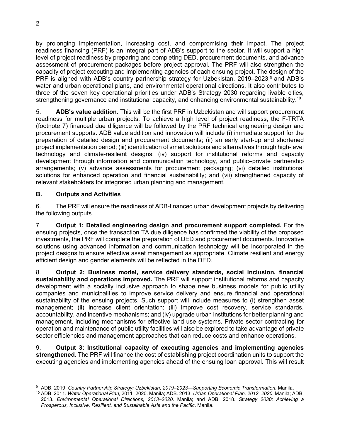by prolonging implementation, increasing cost, and compromising their impact. The project readiness financing (PRF) is an integral part of ADB's support to the sector. It will support a high level of project readiness by preparing and completing DED, procurement documents, and advance assessment of procurement packages before project approval. The PRF will also strengthen the capacity of project executing and implementing agencies of each ensuing project. The design of the PRF is aligned with ADB's country partnership strategy for Uzbekistan, 2019–2023,<sup>9</sup> and ADB's water and urban operational plans, and environmental operational directions. It also contributes to three of the seven key operational priorities under ADB's Strategy 2030 regarding livable cities, strengthening governance and institutional capacity, and enhancing environmental sustainability.<sup>10</sup>

5. **ADB's value addition.** This will be the first PRF in Uzbekistan and will support procurement readiness for multiple urban projects. To achieve a high level of project readiness, the F-TRTA (footnote 7) financed due diligence will be followed by the PRF technical engineering design and procurement supports. ADB value addition and innovation will include (i) immediate support for the preparation of detailed design and procurement documents; (ii) an early start-up and shortened project implementation period; (iii) identification of smart solutions and alternatives through high-level technology and climate-resilient designs; (iv) support for institutional reforms and capacity development through information and communication technology, and public–private partnership arrangements; (v) advance assessments for procurement packaging; (vi) detailed institutional solutions for enhanced operation and financial sustainability; and (vii) strengthened capacity of relevant stakeholders for integrated urban planning and management.

### **B. Outputs and Activities**

6. The PRF will ensure the readiness of ADB-financed urban development projects by delivering the following outputs.

7. **Output 1: Detailed engineering design and procurement support completed.** For the ensuing projects, once the transaction TA due diligence has confirmed the viability of the proposed investments, the PRF will complete the preparation of DED and procurement documents. Innovative solutions using advanced information and communication technology will be incorporated in the project designs to ensure effective asset management as appropriate. Climate resilient and energy efficient design and gender elements will be reflected in the DED.

8. **Output 2: Business model, service delivery standards, social inclusion, financial sustainability and operations improved.** The PRF will support institutional reforms and capacity development with a socially inclusive approach to shape new business models for public utility companies and municipalities to improve service delivery and ensure financial and operational sustainability of the ensuing projects. Such support will include measures to (i) strengthen asset management; (ii) increase client orientation; (iii) improve cost recovery, service standards, accountability, and incentive mechanisms; and (iv) upgrade urban institutions for better planning and management, including mechanisms for effective land use systems. Private sector contracting for operation and maintenance of public utility facilities will also be explored to take advantage of private sector efficiencies and management approaches that can reduce costs and enhance operations.

9. **Output 3: Institutional capacity of executing agencies and implementing agencies strengthened.** The PRF will finance the cost of establishing project coordination units to support the executing agencies and implementing agencies ahead of the ensuing loan approval. This will result

<sup>9</sup> ADB. 2019. *Country Partnership Strategy: Uzbekistan, 2019–2023—Supporting Economic Transformation*. Manila.

<sup>10</sup> ADB. 2011. *Water Operational Plan,* 2011–2020. Manila; ADB. 2013. *Urban Operational Plan, 2012*–*2020*. Manila; ADB. 2013. *Environmental Operational Directions, 2013*–*2020*. Manila; and ADB. 2018. *Strategy 2030: Achieving a Prosperous, Inclusive, Resilient, and Sustainable Asia and the Pacific*. Manila.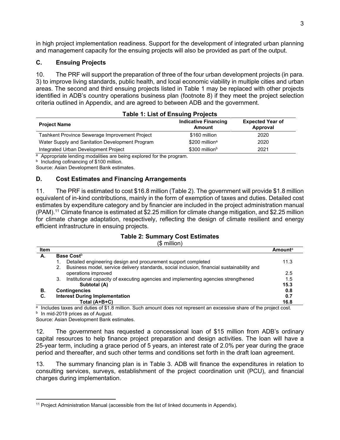in high project implementation readiness. Support for the development of integrated urban planning and management capacity for the ensuing projects will also be provided as part of the output.

#### **C. Ensuing Projects**

10. The PRF will support the preparation of three of the four urban development projects (in para. 3) to improve living standards, public health, and local economic viability in multiple cities and urban areas. The second and third ensuing projects listed in Table 1 may be replaced with other projects identified in ADB's country operations business plan (footnote 8) if they meet the project selection criteria outlined in Appendix, and are agreed to between ADB and the government.

| <b>Table 1: List of Ensuing Projects</b>        |                                              |                                     |  |
|-------------------------------------------------|----------------------------------------------|-------------------------------------|--|
| <b>Project Name</b>                             | <b>Indicative Financing</b><br><b>Amount</b> | <b>Expected Year of</b><br>Approval |  |
| Tashkent Province Sewerage Improvement Project  | \$160 million                                | 2020                                |  |
| Water Supply and Sanitation Development Program | \$200 million <sup>a</sup>                   | 2020                                |  |
| Integrated Urban Development Project            | $$300$ million <sup>b</sup>                  | 2021                                |  |

<sup>a</sup> Appropriate lending modalities are being explored for the program.

**b** Including cofinancing of \$100 million.

Source: Asian Development Bank estimates.

#### **D. Cost Estimates and Financing Arrangements**

11. The PRF is estimated to cost \$16.8 million (Table 2). The government will provide \$1.8 million equivalent of in-kind contributions, mainly in the form of exemption of taxes and duties. Detailed cost estimates by expenditure category and by financier are included in the project administration manual (PAM).<sup>11</sup> Climate finance is estimated at \$2.25 million for climate change mitigation, and \$2.25 million for climate change adaptation, respectively, reflecting the design of climate resilient and energy efficient infrastructure in ensuing projects.

#### **Table 2: Summary Cost Estimates**

#### (\$ million)

| Item |                                                                                                  | Amounta |
|------|--------------------------------------------------------------------------------------------------|---------|
| А.   | <b>Base Cost</b> <sup>b</sup>                                                                    |         |
|      | Detailed engineering design and procurement support completed                                    | 11.3    |
|      | Business model, service delivery standards, social inclusion, financial sustainability and<br>2. |         |
|      | operations improved                                                                              | 2.5     |
|      | Institutional capacity of executing agencies and implementing agencies strengthened<br>3.        | 1.5     |
|      | Subtotal (A)                                                                                     | 15.3    |
| В.   | <b>Contingencies</b>                                                                             | 0.8     |
| C.   | <b>Interest During Implementation</b>                                                            | 0.7     |
|      | Total (A+B+C)                                                                                    | 16.8    |

 $a$  Includes taxes and duties of \$1.8 million. Such amount does not represent an excessive share of the project cost.  $b$  In mid-2019 prices as of August.

Source: Asian Development Bank estimates.

12. The government has requested a concessional loan of \$15 million from ADB's ordinary capital resources to help finance project preparation and design activities. The loan will have a 25-year term, including a grace period of 5 years, an interest rate of 2.0% per year during the grace period and thereafter, and such other terms and conditions set forth in the draft loan agreement.

13. The summary financing plan is in Table 3. ADB will finance the expenditures in relation to consulting services, surveys, establishment of the project coordination unit (PCU), and financial charges during implementation.

<sup>&</sup>lt;sup>11</sup> Project Administration Manual (accessible from the list of linked documents in Appendix).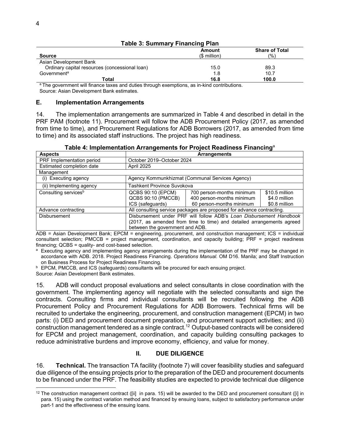|                                                | <b>Amount</b> | <b>Share of Total</b> |  |
|------------------------------------------------|---------------|-----------------------|--|
| <b>Source</b>                                  | $$$ million)  | $\frac{1}{2}$         |  |
| Asian Development Bank                         |               |                       |  |
| Ordinary capital resources (concessional loan) | 15.0          | 89.3                  |  |
| Government <sup>a</sup>                        | 1.8           | 10.7                  |  |
| Total                                          | 16.8          | 100.0                 |  |

#### **Table 3: Summary Financing Plan**

<sup>a</sup> The government will finance taxes and duties through exemptions, as in-kind contributions. Source: Asian Development Bank estimates.

#### **E. Implementation Arrangements**

14. The implementation arrangements are summarized in Table 4 and described in detail in the PRF PAM (footnote 11). Procurement will follow the ADB Procurement Policy (2017, as amended from time to time), and Procurement Regulations for ADB Borrowers (2017, as amended from time to time) and its associated staff instructions. The project has high readiness.

| <b>Aspects</b>                   | <b>Arrangements</b>                                                   |  |  |  |  |
|----------------------------------|-----------------------------------------------------------------------|--|--|--|--|
| PRF Implementation period        | October 2019–October 2024                                             |  |  |  |  |
| Estimated completion date        | April 2025                                                            |  |  |  |  |
| Management                       |                                                                       |  |  |  |  |
| (i) Executing agency             | Agency Kommunkhizmat (Communal Services Agency)                       |  |  |  |  |
| (ii) Implementing agency         | Tashkent Province Suvokova                                            |  |  |  |  |
| Consulting services <sup>b</sup> | QCBS 90:10 (EPCM)<br>700 person-months minimum<br>\$10.5 million      |  |  |  |  |
|                                  | QCBS 90:10 (PMCCB)<br>400 person-months minimum<br>\$4.0 million      |  |  |  |  |
|                                  | 60 person-months minimum<br>ICS (safeguards)<br>\$0.8 million         |  |  |  |  |
| Advance contracting              | All consulting service packages are proposed for advance contracting. |  |  |  |  |
| <b>Disbursement</b>              | Disbursement under PRF will follow ADB's Loan Disbursement Handbook   |  |  |  |  |
|                                  | (2017, as amended from time to time) and detailed arrangements agreed |  |  |  |  |
|                                  | between the government and ADB.                                       |  |  |  |  |

**Table 4: Implementation Arrangements for Project Readiness Financing**<sup>a</sup>

ADB = Asian Development Bank; EPCM = engineering, procurement, and construction management; ICS = individual consultant selection; PMCCB = project management, coordination, and capacity building; PRF = project readiness financing; QCBS = quality- and cost-based selection.

<sup>a</sup> Executing agency and implementing agency arrangements during the implementation of the PRF may be changed in accordance with ADB. 2018. Project Readiness Financing. *Operations Manual.* OM D16. Manila; and Staff Instruction on Business Process for Project Readiness Financing.

**EPCM, PMCCB, and ICS (safeguards) consultants will be procured for each ensuing project.** 

Source: Asian Development Bank estimates.

15. ADB will conduct proposal evaluations and select consultants in close coordination with the government. The implementing agency will negotiate with the selected consultants and sign the contracts. Consulting firms and individual consultants will be recruited following the ADB Procurement Policy and Procurement Regulations for ADB Borrowers. Technical firms will be recruited to undertake the engineering, procurement, and construction management (EPCM) in two parts: (i) DED and procurement document preparation, and procurement support activities; and (ii) construction management tendered as a single contract.<sup>12</sup> Output-based contracts will be considered for EPCM and project management, coordination, and capacity building consulting packages to reduce administrative burdens and improve economy, efficiency, and value for money.

#### **II. DUE DILIGENCE**

16. **Technical.** The transaction TA facility (footnote 7) will cover feasibility studies and safeguard due diligence of the ensuing projects prior to the preparation of the DED and procurement documents to be financed under the PRF. The feasibility studies are expected to provide technical due diligence

 $12$  The construction management contract ([ii] in para. 15) will be awarded to the DED and procurement consultant ([i] in para. 15) using the contract variation method and financed by ensuing loans, subject to satisfactory performance under part-1 and the effectiveness of the ensuing loans.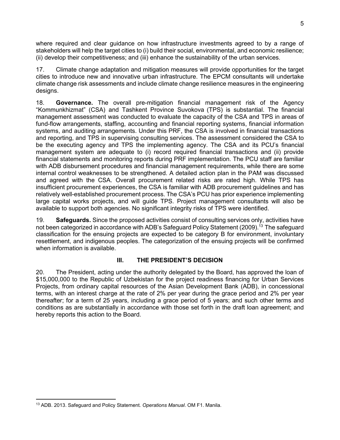where required and clear guidance on how infrastructure investments agreed to by a range of stakeholders will help the target cities to (i) build their social, environmental, and economic resilience; (ii) develop their competitiveness; and (iii) enhance the sustainability of the urban services.

17. Climate change adaptation and mitigation measures will provide opportunities for the target cities to introduce new and innovative urban infrastructure. The EPCM consultants will undertake climate change risk assessments and include climate change resilience measures in the engineering designs.

18. **Governance.** The overall pre-mitigation financial management risk of the Agency "Kommunkhizmat" (CSA) and Tashkent Province Suvokova (TPS) is substantial. The financial management assessment was conducted to evaluate the capacity of the CSA and TPS in areas of fund-flow arrangements, staffing, accounting and financial reporting systems, financial information systems, and auditing arrangements. Under this PRF, the CSA is involved in financial transactions and reporting, and TPS in supervising consulting services. The assessment considered the CSA to be the executing agency and TPS the implementing agency. The CSA and its PCU's financial management system are adequate to (i) record required financial transactions and (ii) provide financial statements and monitoring reports during PRF implementation. The PCU staff are familiar with ADB disbursement procedures and financial management requirements, while there are some internal control weaknesses to be strengthened. A detailed action plan in the PAM was discussed and agreed with the CSA. Overall procurement related risks are rated high. While TPS has insufficient procurement experiences, the CSA is familiar with ADB procurement guidelines and has relatively well-established procurement process. The CSA's PCU has prior experience implementing large capital works projects, and will guide TPS. Project management consultants will also be available to support both agencies. No significant integrity risks of TPS were identified.

19. **Safeguards.** Since the proposed activities consist of consulting services only, activities have not been categorized in accordance with ADB's Safeguard Policy Statement (2009).<sup>13</sup> The safeguard classification for the ensuing projects are expected to be category B for environment, involuntary resettlement, and indigenous peoples. The categorization of the ensuing projects will be confirmed when information is available.

#### **III. THE PRESIDENT'S DECISION**

20. The President, acting under the authority delegated by the Board, has approved the loan of \$15,000,000 to the Republic of Uzbekistan for the project readiness financing for Urban Services Projects, from ordinary capital resources of the Asian Development Bank (ADB), in concessional terms, with an interest charge at the rate of 2% per year during the grace period and 2% per year thereafter; for a term of 25 years, including a grace period of 5 years; and such other terms and conditions as are substantially in accordance with those set forth in the draft loan agreement; and hereby reports this action to the Board.

<sup>5</sup>

<sup>13</sup> ADB. 2013. Safeguard and Policy Statement*. Operations Manual*. OM F1. Manila.